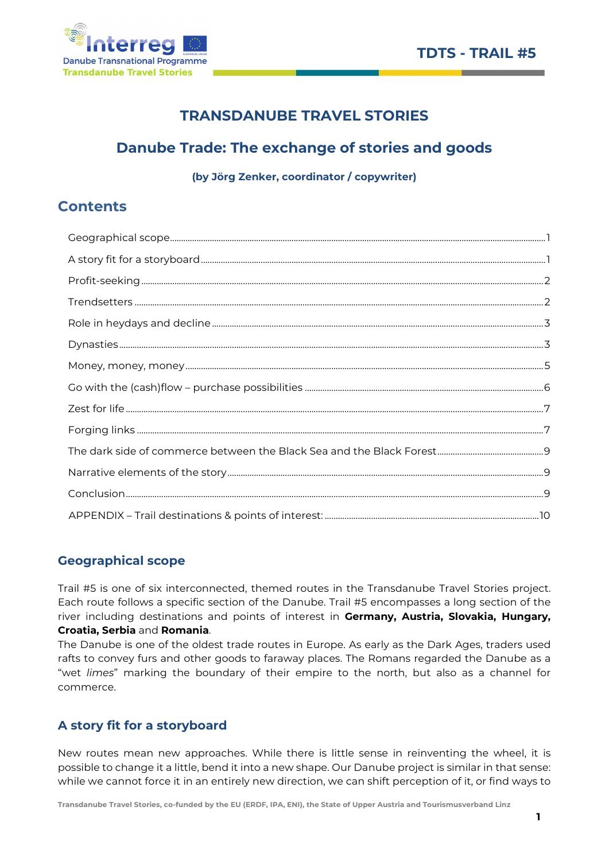

# TRANSDANUBE TRAVEL STORIES

# Danube Trade: The exchange of stories and goods

(by Jörg Zenker, coordinator / copywriter)

# **Contents**

# Geographical scope

Trail #5 is one of six interconnected, themed routes in the Transdanube Travel Stories project. Each route follows a specific section of the Danube. Trail #5 encompasses a long section of the river including destinations and points of interest in Germany, Austria, Slovakia, Hungary, Croatia, Serbia and Romania.

The Danube is one of the oldest trade routes in Europe. As early as the Dark Ages, traders used rafts to convey furs and other goods to faraway places. The Romans regarded the Danube as a "wet limes" marking the boundary of their empire to the north, but also as a channel for commerce.

# A story fit for a storyboard

New routes mean new approaches. While there is little sense in reinventing the wheel, it is possible to change it a little, bend it into a new shape. Our Danube project is similar in that sense: while we cannot force it in an entirely new direction, we can shift perception of it, or find ways to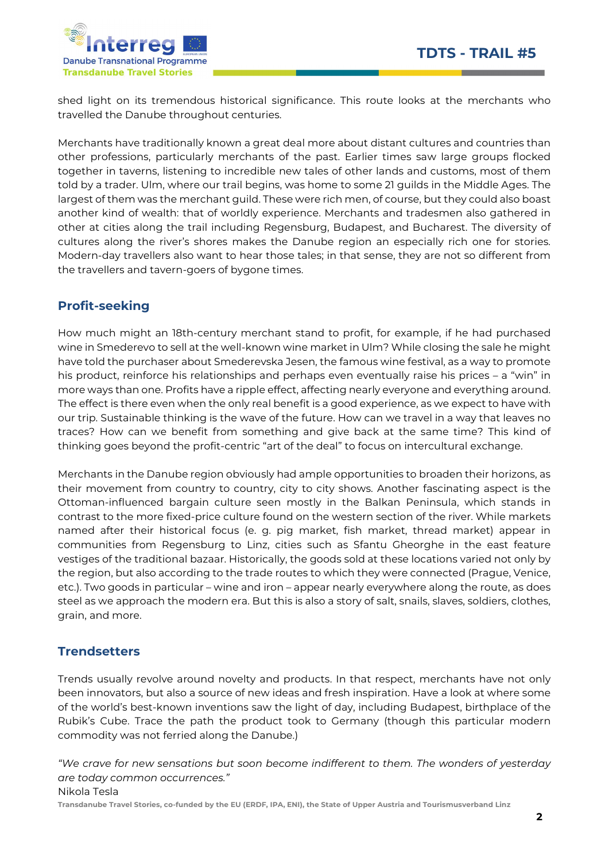

shed light on its tremendous historical significance. This route looks at the merchants who travelled the Danube throughout centuries.

Merchants have traditionally known a great deal more about distant cultures and countries than other professions, particularly merchants of the past. Earlier times saw large groups flocked together in taverns, listening to incredible new tales of other lands and customs, most of them told by a trader. Ulm, where our trail begins, was home to some 21 guilds in the Middle Ages. The largest of them was the merchant guild. These were rich men, of course, but they could also boast another kind of wealth: that of worldly experience. Merchants and tradesmen also gathered in other at cities along the trail including Regensburg, Budapest, and Bucharest. The diversity of cultures along the river's shores makes the Danube region an especially rich one for stories. Modern-day travellers also want to hear those tales; in that sense, they are not so different from the travellers and tavern-goers of bygone times.

## Profit-seeking

How much might an 18th-century merchant stand to profit, for example, if he had purchased wine in Smederevo to sell at the well-known wine market in Ulm? While closing the sale he might have told the purchaser about Smederevska Jesen, the famous wine festival, as a way to promote his product, reinforce his relationships and perhaps even eventually raise his prices – a "win" in more ways than one. Profits have a ripple effect, affecting nearly everyone and everything around. The effect is there even when the only real benefit is a good experience, as we expect to have with our trip. Sustainable thinking is the wave of the future. How can we travel in a way that leaves no traces? How can we benefit from something and give back at the same time? This kind of thinking goes beyond the profit-centric "art of the deal" to focus on intercultural exchange.

Merchants in the Danube region obviously had ample opportunities to broaden their horizons, as their movement from country to country, city to city shows. Another fascinating aspect is the Ottoman-influenced bargain culture seen mostly in the Balkan Peninsula, which stands in contrast to the more fixed-price culture found on the western section of the river. While markets named after their historical focus (e. g. pig market, fish market, thread market) appear in communities from Regensburg to Linz, cities such as Sfantu Gheorghe in the east feature vestiges of the traditional bazaar. Historically, the goods sold at these locations varied not only by the region, but also according to the trade routes to which they were connected (Prague, Venice, etc.). Two goods in particular – wine and iron – appear nearly everywhere along the route, as does steel as we approach the modern era. But this is also a story of salt, snails, slaves, soldiers, clothes, grain, and more.

### **Trendsetters**

Trends usually revolve around novelty and products. In that respect, merchants have not only been innovators, but also a source of new ideas and fresh inspiration. Have a look at where some of the world's best-known inventions saw the light of day, including Budapest, birthplace of the Rubik's Cube. Trace the path the product took to Germany (though this particular modern commodity was not ferried along the Danube.)

"We crave for new sensations but soon become indifferent to them. The wonders of yesterday are today common occurrences."

Nikola Tesla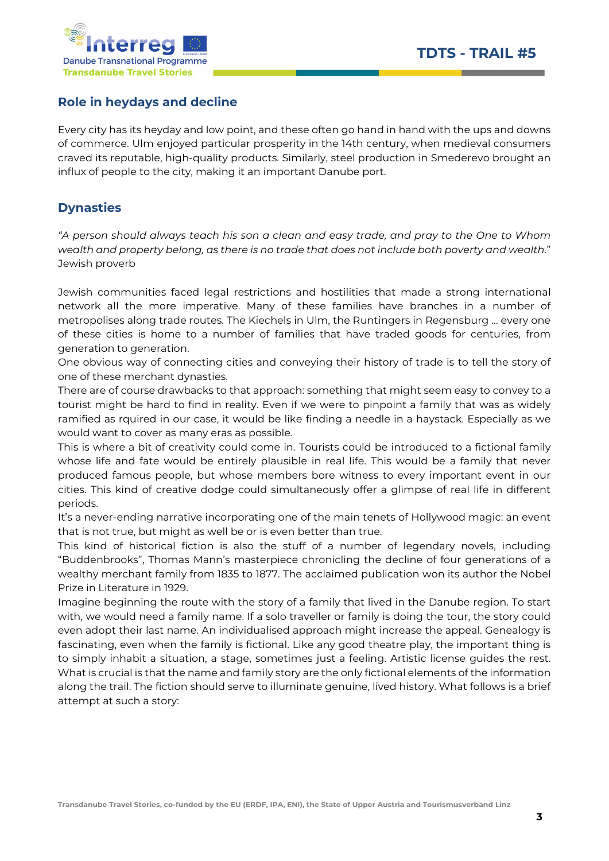

### Role in heydays and decline

Every city has its heyday and low point, and these often go hand in hand with the ups and downs of commerce. Ulm enjoyed particular prosperity in the 14th century, when medieval consumers craved its reputable, high-quality products. Similarly, steel production in Smederevo brought an influx of people to the city, making it an important Danube port.

## **Dynasties**

"A person should always teach his son a clean and easy trade, and pray to the One to Whom wealth and property belong, as there is no trade that does not include both poverty and wealth." Jewish proverb

Jewish communities faced legal restrictions and hostilities that made a strong international network all the more imperative. Many of these families have branches in a number of metropolises along trade routes. The Kiechels in Ulm, the Runtingers in Regensburg … every one of these cities is home to a number of families that have traded goods for centuries, from generation to generation.

One obvious way of connecting cities and conveying their history of trade is to tell the story of one of these merchant dynasties.

There are of course drawbacks to that approach: something that might seem easy to convey to a tourist might be hard to find in reality. Even if we were to pinpoint a family that was as widely ramified as rquired in our case, it would be like finding a needle in a haystack. Especially as we would want to cover as many eras as possible.

This is where a bit of creativity could come in. Tourists could be introduced to a fictional family whose life and fate would be entirely plausible in real life. This would be a family that never produced famous people, but whose members bore witness to every important event in our cities. This kind of creative dodge could simultaneously offer a glimpse of real life in different periods.

It's a never-ending narrative incorporating one of the main tenets of Hollywood magic: an event that is not true, but might as well be or is even better than true.

This kind of historical fiction is also the stuff of a number of legendary novels, including "Buddenbrooks", Thomas Mann's masterpiece chronicling the decline of four generations of a wealthy merchant family from 1835 to 1877. The acclaimed publication won its author the Nobel Prize in Literature in 1929.

Imagine beginning the route with the story of a family that lived in the Danube region. To start with, we would need a family name. If a solo traveller or family is doing the tour, the story could even adopt their last name. An individualised approach might increase the appeal. Genealogy is fascinating, even when the family is fictional. Like any good theatre play, the important thing is to simply inhabit a situation, a stage, sometimes just a feeling. Artistic license guides the rest. What is crucial is that the name and family story are the only fictional elements of the information along the trail. The fiction should serve to illuminate genuine, lived history. What follows is a brief attempt at such a story: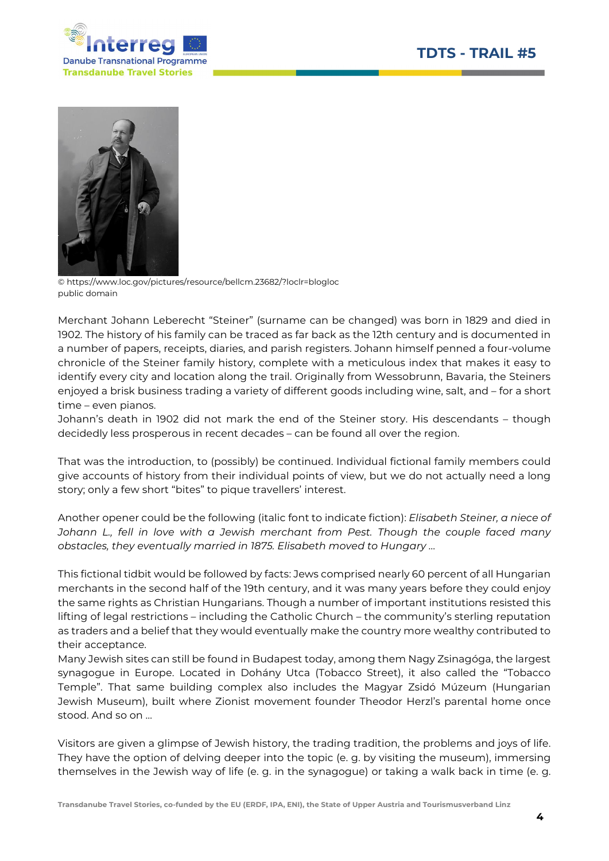



© https://www.loc.gov/pictures/resource/bellcm.23682/?loclr=blogloc public domain

Merchant Johann Leberecht "Steiner" (surname can be changed) was born in 1829 and died in 1902. The history of his family can be traced as far back as the 12th century and is documented in a number of papers, receipts, diaries, and parish registers. Johann himself penned a four-volume chronicle of the Steiner family history, complete with a meticulous index that makes it easy to identify every city and location along the trail. Originally from Wessobrunn, Bavaria, the Steiners enjoyed a brisk business trading a variety of different goods including wine, salt, and – for a short time – even pianos.

Johann's death in 1902 did not mark the end of the Steiner story. His descendants – though decidedly less prosperous in recent decades – can be found all over the region.

That was the introduction, to (possibly) be continued. Individual fictional family members could give accounts of history from their individual points of view, but we do not actually need a long story; only a few short "bites" to pique travellers' interest.

Another opener could be the following (italic font to indicate fiction): Elisabeth Steiner, a niece of Johann L., fell in love with a Jewish merchant from Pest. Though the couple faced many obstacles, they eventually married in 1875. Elisabeth moved to Hungary …

This fictional tidbit would be followed by facts: Jews comprised nearly 60 percent of all Hungarian merchants in the second half of the 19th century, and it was many years before they could enjoy the same rights as Christian Hungarians. Though a number of important institutions resisted this lifting of legal restrictions – including the Catholic Church – the community's sterling reputation as traders and a belief that they would eventually make the country more wealthy contributed to their acceptance.

Many Jewish sites can still be found in Budapest today, among them Nagy Zsinagóga, the largest synagogue in Europe. Located in Dohány Utca (Tobacco Street), it also called the "Tobacco Temple". That same building complex also includes the Magyar Zsidó Múzeum (Hungarian Jewish Museum), built where Zionist movement founder Theodor Herzl's parental home once stood. And so on …

Visitors are given a glimpse of Jewish history, the trading tradition, the problems and joys of life. They have the option of delving deeper into the topic (e. g. by visiting the museum), immersing themselves in the Jewish way of life (e. g. in the synagogue) or taking a walk back in time (e. g.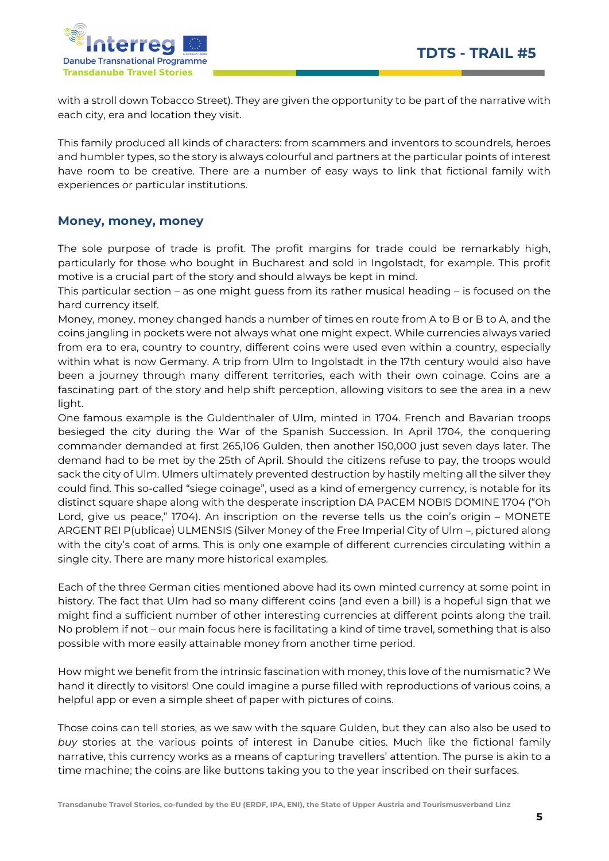

with a stroll down Tobacco Street). They are given the opportunity to be part of the narrative with each city, era and location they visit.

This family produced all kinds of characters: from scammers and inventors to scoundrels, heroes and humbler types, so the story is always colourful and partners at the particular points of interest have room to be creative. There are a number of easy ways to link that fictional family with experiences or particular institutions.

### Money, money, money

The sole purpose of trade is profit. The profit margins for trade could be remarkably high, particularly for those who bought in Bucharest and sold in Ingolstadt, for example. This profit motive is a crucial part of the story and should always be kept in mind.

This particular section – as one might guess from its rather musical heading – is focused on the hard currency itself.

Money, money, money changed hands a number of times en route from A to B or B to A, and the coins jangling in pockets were not always what one might expect. While currencies always varied from era to era, country to country, different coins were used even within a country, especially within what is now Germany. A trip from Ulm to Ingolstadt in the 17th century would also have been a journey through many different territories, each with their own coinage. Coins are a fascinating part of the story and help shift perception, allowing visitors to see the area in a new light.

One famous example is the Guldenthaler of Ulm, minted in 1704. French and Bavarian troops besieged the city during the War of the Spanish Succession. In April 1704, the conquering commander demanded at first 265,106 Gulden, then another 150,000 just seven days later. The demand had to be met by the 25th of April. Should the citizens refuse to pay, the troops would sack the city of Ulm. Ulmers ultimately prevented destruction by hastily melting all the silver they could find. This so-called "siege coinage", used as a kind of emergency currency, is notable for its distinct square shape along with the desperate inscription DA PACEM NOBIS DOMINE 1704 ("Oh Lord, give us peace," 1704). An inscription on the reverse tells us the coin's origin – MONETE ARGENT REI P(ublicae) ULMENSIS (Silver Money of the Free Imperial City of Ulm –, pictured along with the city's coat of arms. This is only one example of different currencies circulating within a single city. There are many more historical examples.

Each of the three German cities mentioned above had its own minted currency at some point in history. The fact that Ulm had so many different coins (and even a bill) is a hopeful sign that we might find a sufficient number of other interesting currencies at different points along the trail. No problem if not – our main focus here is facilitating a kind of time travel, something that is also possible with more easily attainable money from another time period.

How might we benefit from the intrinsic fascination with money, this love of the numismatic? We hand it directly to visitors! One could imagine a purse filled with reproductions of various coins, a helpful app or even a simple sheet of paper with pictures of coins.

Those coins can tell stories, as we saw with the square Gulden, but they can also also be used to buy stories at the various points of interest in Danube cities. Much like the fictional family narrative, this currency works as a means of capturing travellers' attention. The purse is akin to a time machine; the coins are like buttons taking you to the year inscribed on their surfaces.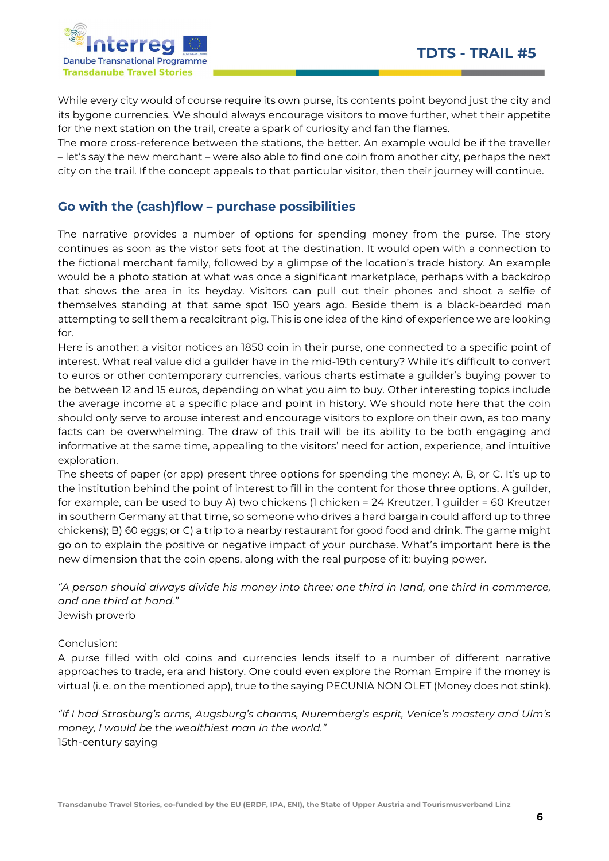

While every city would of course require its own purse, its contents point beyond just the city and its bygone currencies. We should always encourage visitors to move further, whet their appetite for the next station on the trail, create a spark of curiosity and fan the flames.

The more cross-reference between the stations, the better. An example would be if the traveller – let's say the new merchant – were also able to find one coin from another city, perhaps the next city on the trail. If the concept appeals to that particular visitor, then their journey will continue.

### Go with the (cash)flow – purchase possibilities

The narrative provides a number of options for spending money from the purse. The story continues as soon as the vistor sets foot at the destination. It would open with a connection to the fictional merchant family, followed by a glimpse of the location's trade history. An example would be a photo station at what was once a significant marketplace, perhaps with a backdrop that shows the area in its heyday. Visitors can pull out their phones and shoot a selfie of themselves standing at that same spot 150 years ago. Beside them is a black-bearded man attempting to sell them a recalcitrant pig. This is one idea of the kind of experience we are looking for.

Here is another: a visitor notices an 1850 coin in their purse, one connected to a specific point of interest. What real value did a guilder have in the mid-19th century? While it's difficult to convert to euros or other contemporary currencies, various charts estimate a guilder's buying power to be between 12 and 15 euros, depending on what you aim to buy. Other interesting topics include the average income at a specific place and point in history. We should note here that the coin should only serve to arouse interest and encourage visitors to explore on their own, as too many facts can be overwhelming. The draw of this trail will be its ability to be both engaging and informative at the same time, appealing to the visitors' need for action, experience, and intuitive exploration.

The sheets of paper (or app) present three options for spending the money: A, B, or C. It's up to the institution behind the point of interest to fill in the content for those three options. A guilder, for example, can be used to buy A) two chickens (1 chicken = 24 Kreutzer, 1 guilder = 60 Kreutzer in southern Germany at that time, so someone who drives a hard bargain could afford up to three chickens); B) 60 eggs; or C) a trip to a nearby restaurant for good food and drink. The game might go on to explain the positive or negative impact of your purchase. What's important here is the new dimension that the coin opens, along with the real purpose of it: buying power.

"A person should always divide his money into three: one third in land, one third in commerce, and one third at hand." Jewish proverb

Conclusion:

A purse filled with old coins and currencies lends itself to a number of different narrative approaches to trade, era and history. One could even explore the Roman Empire if the money is virtual (i. e. on the mentioned app), true to the saying PECUNIA NON OLET (Money does not stink).

"If I had Strasburg's arms, Augsburg's charms, Nuremberg's esprit, Venice's mastery and Ulm's money, I would be the wealthiest man in the world." 15th-century saying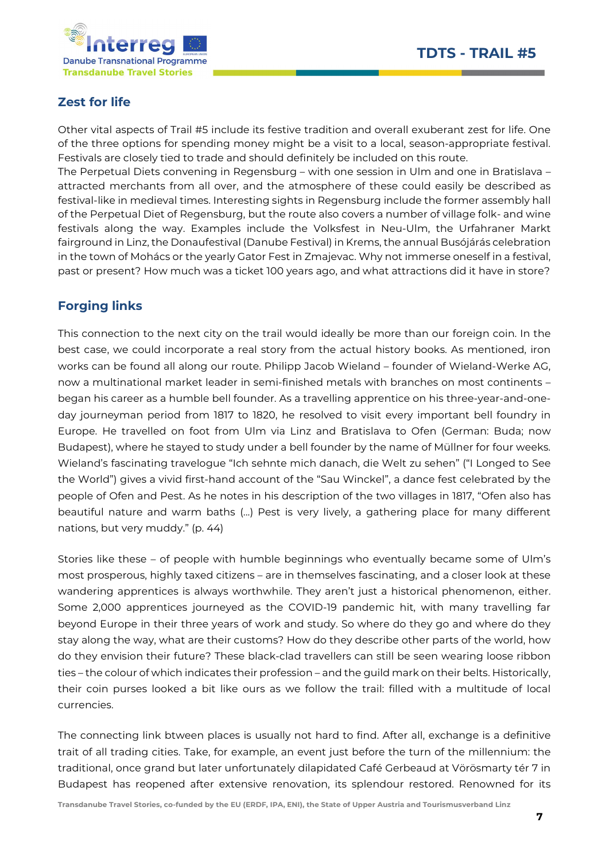

## Zest for life

Other vital aspects of Trail #5 include its festive tradition and overall exuberant zest for life. One of the three options for spending money might be a visit to a local, season-appropriate festival. Festivals are closely tied to trade and should definitely be included on this route.

The Perpetual Diets convening in Regensburg – with one session in Ulm and one in Bratislava – attracted merchants from all over, and the atmosphere of these could easily be described as festival-like in medieval times. Interesting sights in Regensburg include the former assembly hall of the Perpetual Diet of Regensburg, but the route also covers a number of village folk- and wine festivals along the way. Examples include the Volksfest in Neu-Ulm, the Urfahraner Markt fairground in Linz, the Donaufestival (Danube Festival) in Krems, the annual Busójárás celebration in the town of Mohács or the yearly Gator Fest in Zmajevac. Why not immerse oneself in a festival, past or present? How much was a ticket 100 years ago, and what attractions did it have in store?

## Forging links

This connection to the next city on the trail would ideally be more than our foreign coin. In the best case, we could incorporate a real story from the actual history books. As mentioned, iron works can be found all along our route. Philipp Jacob Wieland – founder of Wieland-Werke AG, now a multinational market leader in semi-finished metals with branches on most continents – began his career as a humble bell founder. As a travelling apprentice on his three-year-and-oneday journeyman period from 1817 to 1820, he resolved to visit every important bell foundry in Europe. He travelled on foot from Ulm via Linz and Bratislava to Ofen (German: Buda; now Budapest), where he stayed to study under a bell founder by the name of Müllner for four weeks. Wieland's fascinating travelogue "Ich sehnte mich danach, die Welt zu sehen" ("I Longed to See the World") gives a vivid first-hand account of the "Sau Winckel", a dance fest celebrated by the people of Ofen and Pest. As he notes in his description of the two villages in 1817, "Ofen also has beautiful nature and warm baths (...) Pest is very lively, a gathering place for many different nations, but very muddy." (p. 44)

Stories like these – of people with humble beginnings who eventually became some of Ulm's most prosperous, highly taxed citizens – are in themselves fascinating, and a closer look at these wandering apprentices is always worthwhile. They aren't just a historical phenomenon, either. Some 2,000 apprentices journeyed as the COVID-19 pandemic hit, with many travelling far beyond Europe in their three years of work and study. So where do they go and where do they stay along the way, what are their customs? How do they describe other parts of the world, how do they envision their future? These black-clad travellers can still be seen wearing loose ribbon ties – the colour of which indicates their profession – and the guild mark on their belts. Historically, their coin purses looked a bit like ours as we follow the trail: filled with a multitude of local currencies.

The connecting link btween places is usually not hard to find. After all, exchange is a definitive trait of all trading cities. Take, for example, an event just before the turn of the millennium: the traditional, once grand but later unfortunately dilapidated Café Gerbeaud at Vörösmarty tér 7 in Budapest has reopened after extensive renovation, its splendour restored. Renowned for its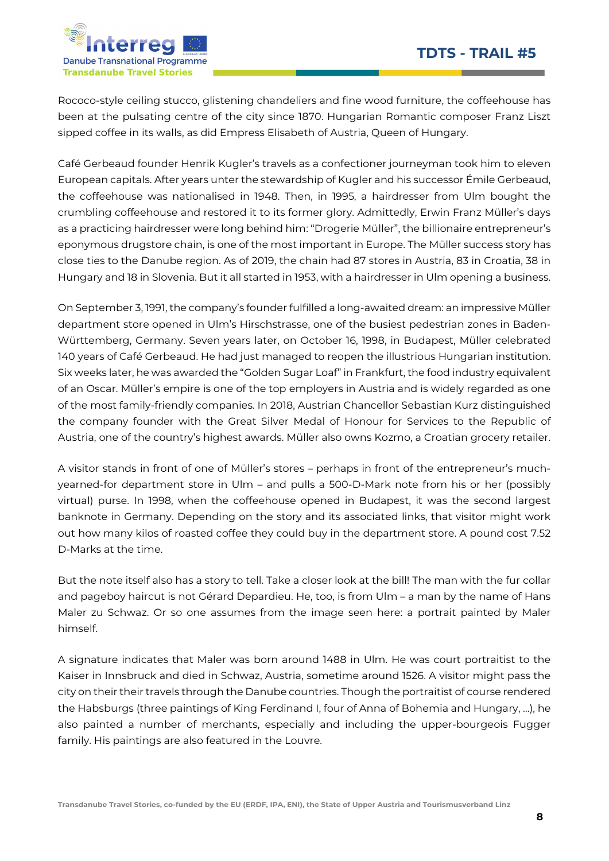

Rococo-style ceiling stucco, glistening chandeliers and fine wood furniture, the coffeehouse has been at the pulsating centre of the city since 1870. Hungarian Romantic composer Franz Liszt sipped coffee in its walls, as did Empress Elisabeth of Austria, Queen of Hungary.

Café Gerbeaud founder Henrik Kugler's travels as a confectioner journeyman took him to eleven European capitals. After years unter the stewardship of Kugler and his successor Émile Gerbeaud, the coffeehouse was nationalised in 1948. Then, in 1995, a hairdresser from Ulm bought the crumbling coffeehouse and restored it to its former glory. Admittedly, Erwin Franz Müller's days as a practicing hairdresser were long behind him: "Drogerie Müller", the billionaire entrepreneur's eponymous drugstore chain, is one of the most important in Europe. The Müller success story has close ties to the Danube region. As of 2019, the chain had 87 stores in Austria, 83 in Croatia, 38 in Hungary and 18 in Slovenia. But it all started in 1953, with a hairdresser in Ulm opening a business.

On September 3, 1991, the company's founder fulfilled a long-awaited dream: an impressive Müller department store opened in Ulm's Hirschstrasse, one of the busiest pedestrian zones in Baden-Württemberg, Germany. Seven years later, on October 16, 1998, in Budapest, Müller celebrated 140 years of Café Gerbeaud. He had just managed to reopen the illustrious Hungarian institution. Six weeks later, he was awarded the "Golden Sugar Loaf" in Frankfurt, the food industry equivalent of an Oscar. Müller's empire is one of the top employers in Austria and is widely regarded as one of the most family-friendly companies. In 2018, Austrian Chancellor Sebastian Kurz distinguished the company founder with the Great Silver Medal of Honour for Services to the Republic of Austria, one of the country's highest awards. Müller also owns Kozmo, a Croatian grocery retailer.

A visitor stands in front of one of Müller's stores – perhaps in front of the entrepreneur's muchyearned-for department store in Ulm – and pulls a 500-D-Mark note from his or her (possibly virtual) purse. In 1998, when the coffeehouse opened in Budapest, it was the second largest banknote in Germany. Depending on the story and its associated links, that visitor might work out how many kilos of roasted coffee they could buy in the department store. A pound cost 7.52 D-Marks at the time.

But the note itself also has a story to tell. Take a closer look at the bill! The man with the fur collar and pageboy haircut is not Gérard Depardieu. He, too, is from Ulm – a man by the name of Hans Maler zu Schwaz. Or so one assumes from the image seen here: a portrait painted by Maler himself.

A signature indicates that Maler was born around 1488 in Ulm. He was court portraitist to the Kaiser in Innsbruck and died in Schwaz, Austria, sometime around 1526. A visitor might pass the city on their their travels through the Danube countries. Though the portraitist of course rendered the Habsburgs (three paintings of King Ferdinand I, four of Anna of Bohemia and Hungary, …), he also painted a number of merchants, especially and including the upper-bourgeois Fugger family. His paintings are also featured in the Louvre.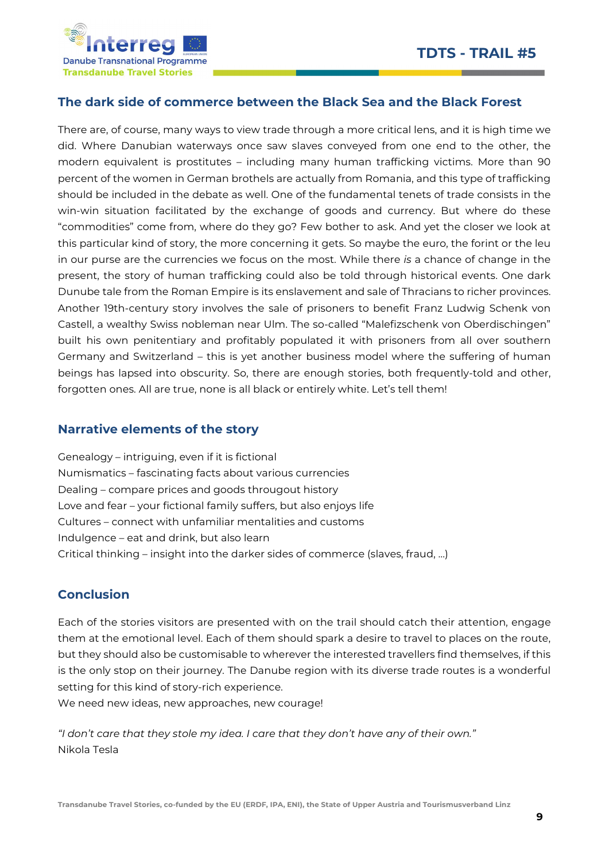

### The dark side of commerce between the Black Sea and the Black Forest

There are, of course, many ways to view trade through a more critical lens, and it is high time we did. Where Danubian waterways once saw slaves conveyed from one end to the other, the modern equivalent is prostitutes – including many human trafficking victims. More than 90 percent of the women in German brothels are actually from Romania, and this type of trafficking should be included in the debate as well. One of the fundamental tenets of trade consists in the win-win situation facilitated by the exchange of goods and currency. But where do these "commodities" come from, where do they go? Few bother to ask. And yet the closer we look at this particular kind of story, the more concerning it gets. So maybe the euro, the forint or the leu in our purse are the currencies we focus on the most. While there is a chance of change in the present, the story of human trafficking could also be told through historical events. One dark Dunube tale from the Roman Empire is its enslavement and sale of Thracians to richer provinces. Another 19th-century story involves the sale of prisoners to benefit Franz Ludwig Schenk von Castell, a wealthy Swiss nobleman near Ulm. The so-called "Malefizschenk von Oberdischingen" built his own penitentiary and profitably populated it with prisoners from all over southern Germany and Switzerland – this is yet another business model where the suffering of human beings has lapsed into obscurity. So, there are enough stories, both frequently-told and other, forgotten ones. All are true, none is all black or entirely white. Let's tell them!

### Narrative elements of the story

Genealogy – intriguing, even if it is fictional Numismatics – fascinating facts about various currencies Dealing – compare prices and goods througout history Love and fear – your fictional family suffers, but also enjoys life Cultures – connect with unfamiliar mentalities and customs Indulgence – eat and drink, but also learn Critical thinking – insight into the darker sides of commerce (slaves, fraud, …)

## Conclusion

Each of the stories visitors are presented with on the trail should catch their attention, engage them at the emotional level. Each of them should spark a desire to travel to places on the route, but they should also be customisable to wherever the interested travellers find themselves, if this is the only stop on their journey. The Danube region with its diverse trade routes is a wonderful setting for this kind of story-rich experience.

We need new ideas, new approaches, new courage!

"I don't care that they stole my idea. I care that they don't have any of their own." Nikola Tesla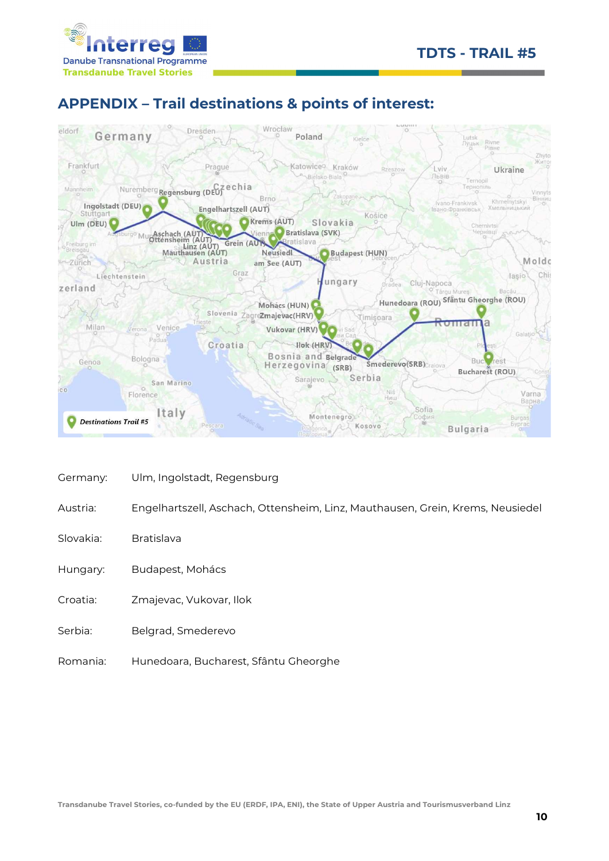



# APPENDIX – Trail destinations & points of interest:



- Germany: Ulm, Ingolstadt, Regensburg
- Austria: Engelhartszell, Aschach, Ottensheim, Linz, Mauthausen, Grein, Krems, Neusiedel
- Slovakia: Bratislava
- Hungary: Budapest, Mohács
- Croatia: Zmajevac, Vukovar, Ilok
- Serbia: Belgrad, Smederevo
- Romania: Hunedoara, Bucharest, Sfântu Gheorghe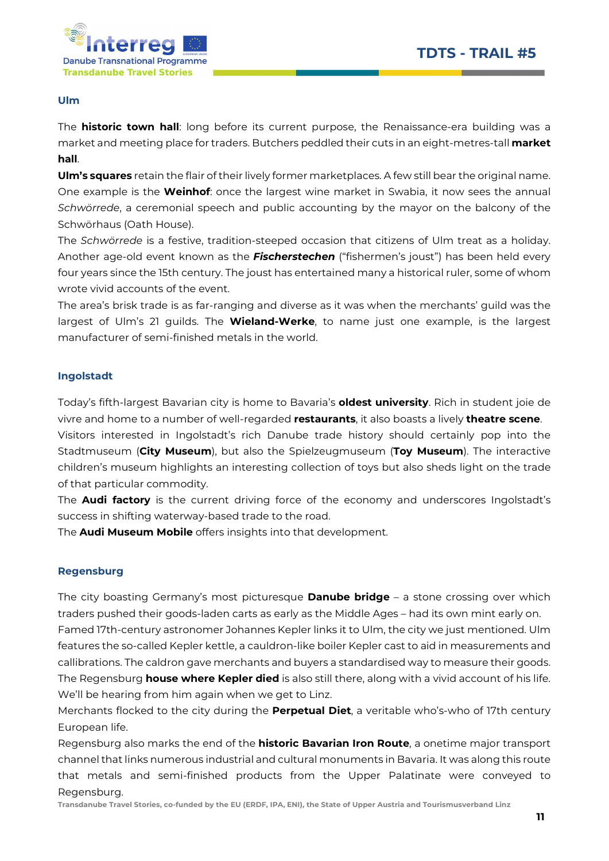

#### Ulm

The **historic town hall**: long before its current purpose, the Renaissance-era building was a market and meeting place for traders. Butchers peddled their cuts in an eight-metres-tall **market** hall.

Ulm's squares retain the flair of their lively former marketplaces. A few still bear the original name. One example is the **Weinhof**: once the largest wine market in Swabia, it now sees the annual Schwörrede, a ceremonial speech and public accounting by the mayor on the balcony of the Schwörhaus (Oath House).

The Schwörrede is a festive, tradition-steeped occasion that citizens of Ulm treat as a holiday. Another age-old event known as the *Fischerstechen* ("fishermen's joust") has been held every four years since the 15th century. The joust has entertained many a historical ruler, some of whom wrote vivid accounts of the event.

The area's brisk trade is as far-ranging and diverse as it was when the merchants' guild was the largest of Ulm's 21 guilds. The **Wieland-Werke**, to name just one example, is the largest manufacturer of semi-finished metals in the world.

#### Ingolstadt

Today's fifth-largest Bavarian city is home to Bavaria's **oldest university**. Rich in student joie de vivre and home to a number of well-regarded restaurants, it also boasts a lively theatre scene. Visitors interested in Ingolstadt's rich Danube trade history should certainly pop into the Stadtmuseum (City Museum), but also the Spielzeugmuseum (Toy Museum). The interactive children's museum highlights an interesting collection of toys but also sheds light on the trade

of that particular commodity.

The **Audi factory** is the current driving force of the economy and underscores Ingolstadt's success in shifting waterway-based trade to the road.

The **Audi Museum Mobile** offers insights into that development.

#### Regensburg

The city boasting Germany's most picturesque **Danube bridge** - a stone crossing over which traders pushed their goods-laden carts as early as the Middle Ages – had its own mint early on. Famed 17th-century astronomer Johannes Kepler links it to Ulm, the city we just mentioned. Ulm features the so-called Kepler kettle, a cauldron-like boiler Kepler cast to aid in measurements and callibrations. The caldron gave merchants and buyers a standardised way to measure their goods. The Regensburg **house where Kepler died** is also still there, along with a vivid account of his life. We'll be hearing from him again when we get to Linz.

Merchants flocked to the city during the **Perpetual Diet**, a veritable who's-who of 17th century European life.

Regensburg also marks the end of the **historic Bavarian Iron Route**, a onetime major transport channel that links numerous industrial and cultural monuments in Bavaria. It was along this route that metals and semi-finished products from the Upper Palatinate were conveyed to Regensburg.

Transdanube Travel Stories, co-funded by the EU (ERDF, IPA, ENI), the State of Upper Austria and Tourismusverband Linz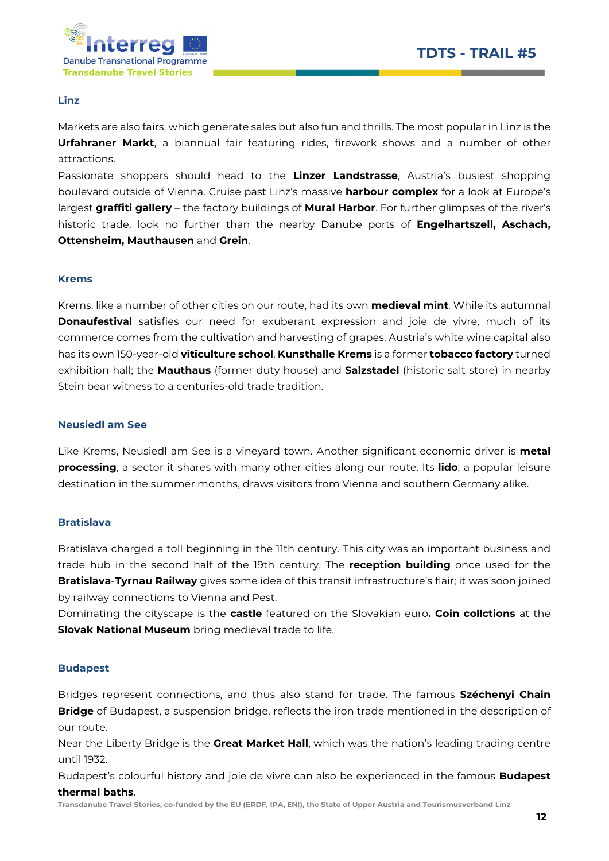

#### Linz

Markets are also fairs, which generate sales but also fun and thrills. The most popular in Linz is the Urfahraner Markt, a biannual fair featuring rides, firework shows and a number of other attractions.

Passionate shoppers should head to the Linzer Landstrasse, Austria's busiest shopping boulevard outside of Vienna. Cruise past Linz's massive **harbour complex** for a look at Europe's largest graffiti gallery – the factory buildings of Mural Harbor. For further glimpses of the river's historic trade, look no further than the nearby Danube ports of Engelhartszell, Aschach, Ottensheim, Mauthausen and Grein.

#### Krems

Krems, like a number of other cities on our route, had its own **medieval mint**. While its autumnal **Donaufestival** satisfies our need for exuberant expression and joie de vivre, much of its commerce comes from the cultivation and harvesting of grapes. Austria's white wine capital also has its own 150-year-old viticulture school. Kunsthalle Krems is a former tobacco factory turned exhibition hall; the Mauthaus (former duty house) and Salzstadel (historic salt store) in nearby Stein bear witness to a centuries-old trade tradition.

#### Neusiedl am See

Like Krems, Neusiedl am See is a vineyard town. Another significant economic driver is **metal** processing, a sector it shares with many other cities along our route. Its lido, a popular leisure destination in the summer months, draws visitors from Vienna and southern Germany alike.

#### Bratislava

Bratislava charged a toll beginning in the 11th century. This city was an important business and trade hub in the second half of the 19th century. The **reception building** once used for the Bratislava-Tyrnau Railway gives some idea of this transit infrastructure's flair; it was soon joined by railway connections to Vienna and Pest.

Dominating the cityscape is the **castle** featured on the Slovakian euro. Coin collctions at the **Slovak National Museum** bring medieval trade to life.

#### Budapest

Bridges represent connections, and thus also stand for trade. The famous Széchenyi Chain **Bridge** of Budapest, a suspension bridge, reflects the iron trade mentioned in the description of our route.

Near the Liberty Bridge is the Great Market Hall, which was the nation's leading trading centre until 1932.

Budapest's colourful history and joie de vivre can also be experienced in the famous **Budapest** thermal baths.

Transdanube Travel Stories, co-funded by the EU (ERDF, IPA, ENI), the State of Upper Austria and Tourismusverband Linz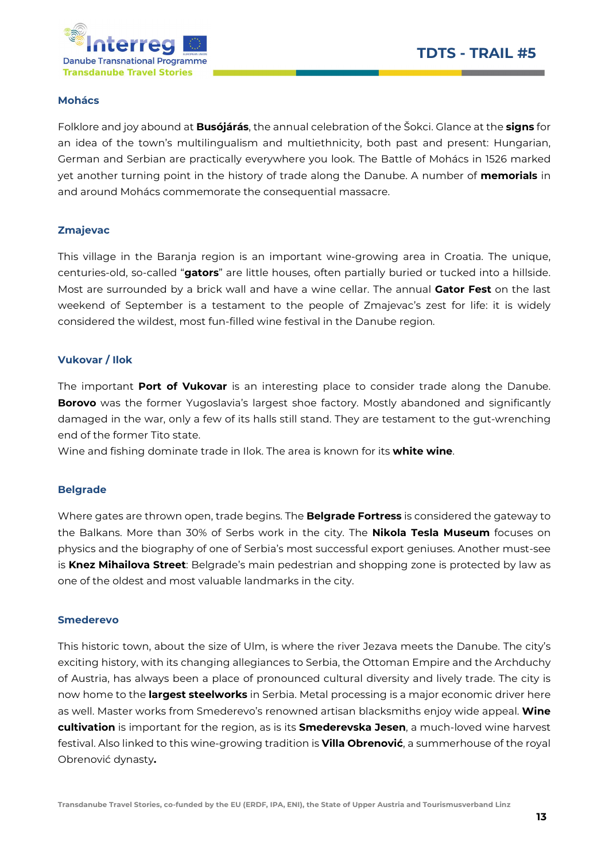

#### Mohács

Folklore and joy abound at **Busójárás**, the annual celebration of the Šokci. Glance at the signs for an idea of the town's multilingualism and multiethnicity, both past and present: Hungarian, German and Serbian are practically everywhere you look. The Battle of Mohács in 1526 marked yet another turning point in the history of trade along the Danube. A number of **memorials** in and around Mohács commemorate the consequential massacre.

#### Zmajevac

This village in the Baranja region is an important wine-growing area in Croatia. The unique, centuries-old, so-called "gators" are little houses, often partially buried or tucked into a hillside. Most are surrounded by a brick wall and have a wine cellar. The annual Gator Fest on the last weekend of September is a testament to the people of Zmajevac's zest for life: it is widely considered the wildest, most fun-filled wine festival in the Danube region.

#### Vukovar / Ilok

The important Port of Vukovar is an interesting place to consider trade along the Danube. **Borovo** was the former Yugoslavia's largest shoe factory. Mostly abandoned and significantly damaged in the war, only a few of its halls still stand. They are testament to the gut-wrenching end of the former Tito state.

Wine and fishing dominate trade in Ilok. The area is known for its white wine.

#### Belgrade

Where gates are thrown open, trade begins. The **Belgrade Fortress** is considered the gateway to the Balkans. More than 30% of Serbs work in the city. The **Nikola Tesla Museum** focuses on physics and the biography of one of Serbia's most successful export geniuses. Another must-see is Knez Mihailova Street: Belgrade's main pedestrian and shopping zone is protected by law as one of the oldest and most valuable landmarks in the city.

#### Smederevo

This historic town, about the size of Ulm, is where the river Jezava meets the Danube. The city's exciting history, with its changing allegiances to Serbia, the Ottoman Empire and the Archduchy of Austria, has always been a place of pronounced cultural diversity and lively trade. The city is now home to the largest steelworks in Serbia. Metal processing is a major economic driver here as well. Master works from Smederevo's renowned artisan blacksmiths enjoy wide appeal. Wine cultivation is important for the region, as is its Smederevska Jesen, a much-loved wine harvest festival. Also linked to this wine-growing tradition is **Villa Obrenović**, a summerhouse of the royal Obrenović dynasty.